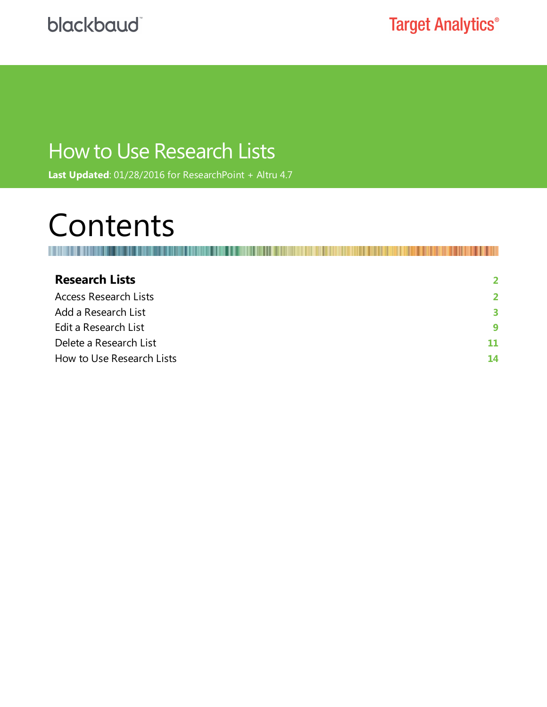# How to Use Research Lists

**Last Updated**: 01/28/2016 for ResearchPoint + Altru 4.7

# Contents

Ш

| <b>Research Lists</b>        | $\mathbf{z}$ |
|------------------------------|--------------|
| <b>Access Research Lists</b> | $\mathbf{z}$ |
| Add a Research List          | 3            |
| Edit a Research List         | 9            |
| Delete a Research List       | 11           |
| How to Use Research Lists    | 14           |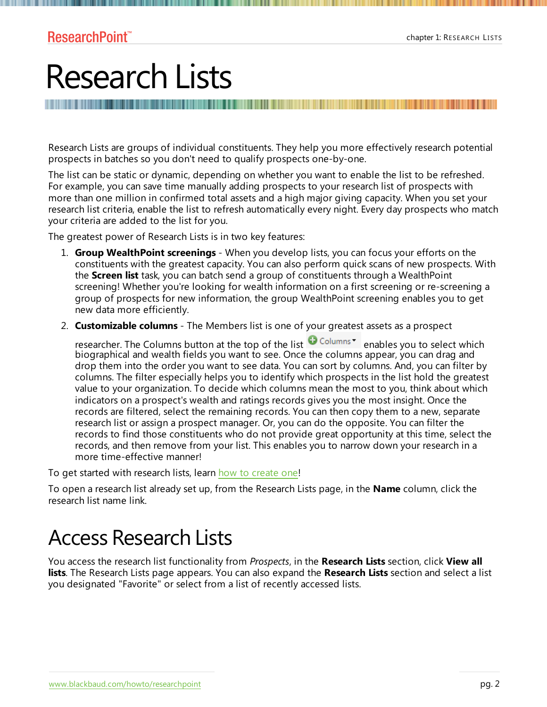# <span id="page-1-0"></span>Research Lists

Research Lists are groups of individual constituents. They help you more effectively research potential prospects in batches so you don't need to qualify prospects one-by-one.

The list can be static or dynamic, depending on whether you want to enable the list to be refreshed. For example, you can save time manually adding prospects to your research list of prospects with more than one million in confirmed total assets and a high major giving capacity. When you set your research list criteria, enable the list to refresh automatically every night. Every day prospects who match your criteria are added to the list for you.

The greatest power of Research Lists is in two key features:

- 1. **Group WealthPoint screenings** When you develop lists, you can focus your efforts on the constituents with the greatest capacity. You can also perform quick scans of new prospects. With the **Screen list** task, you can batch send a group of constituents through a WealthPoint screening! Whether you're looking for wealth information on a first screening or re-screening a group of prospects for new information, the group WealthPoint screening enables you to get new data more efficiently.
- 2. **Customizable columns** The Members list is one of your greatest assets as a prospect

researcher. The Columns button at the top of the list Columns<sup>\*</sup> enables you to select which biographical and wealth fields you want to see. Once the columns appear, you can drag and drop them into the order you want to see data. You can sort by columns. And, you can filter by columns. The filter especially helps you to identify which prospects in the list hold the greatest value to your organization. To decide which columns mean the most to you, think about which indicators on a prospect's wealth and ratings records gives you the most insight. Once the records are filtered, select the remaining records. You can then copy them to a new, separate research list or assign a prospect manager. Or, you can do the opposite. You can filter the records to find those constituents who do not provide great opportunity at this time, select the records, and then remove from your list. This enables you to narrow down your research in a more time-effective manner!

To get started with research lists, learn how to [create](#page-2-0) one!

<span id="page-1-1"></span>To open a research list already set up, from the Research Lists page, in the **Name** column, click the research list name link.

# Access Research Lists

You access the research list functionality from *Prospects*, in the **Research Lists** section, click **View all lists**. The Research Lists page appears. You can also expand the **Research Lists** section and select a list you designated "Favorite" or select from a list of recently accessed lists.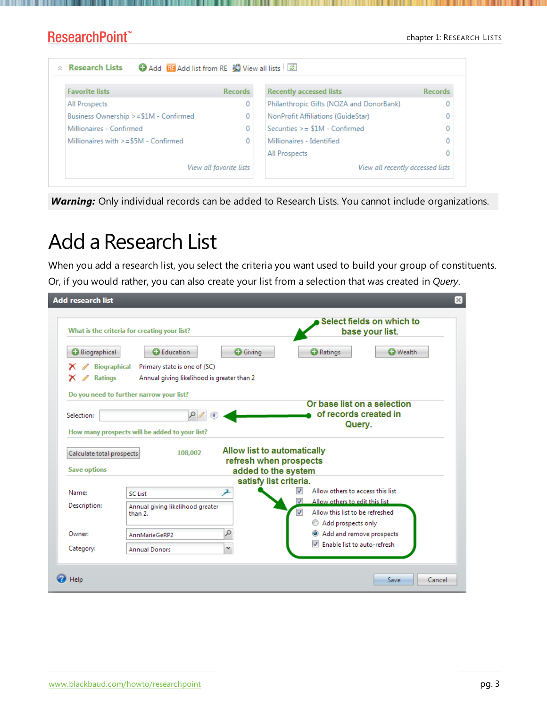#### chapter 1: RESEARCH LISTS

#### **ResearchPoint™**

| <b>Favorite lists</b>                  | <b>Records</b> | <b>Recently accessed lists</b>           | <b>Records</b> |
|----------------------------------------|----------------|------------------------------------------|----------------|
| All Prospects                          | 0              | Philanthropic Gifts (NOZA and DonorBank) |                |
| Business Ownership >=\$1M - Confirmed  | 0              | NonProfit Affiliations (GuideStar)       |                |
| Millionaires - Confirmed               | 0              | Securities $>= $1M -$ Confirmed          |                |
| Millionaires with $>= $5M -$ Confirmed | 0              | Millionaires - Identified                |                |
|                                        |                | All Prospects                            |                |

<span id="page-2-0"></span>*Warning:* Only individual records can be added to Research Lists. You cannot include organizations.

# Add a Research List

When you add a research list, you select the criteria you want used to build your group of constituents. Or, if you would rather, you can also create your list from a selection that was created in *Query*.

| <b>Add research list</b>                         |                                                                                            |                             |                                               |                                                                                         |                                                                | ×      |
|--------------------------------------------------|--------------------------------------------------------------------------------------------|-----------------------------|-----------------------------------------------|-----------------------------------------------------------------------------------------|----------------------------------------------------------------|--------|
|                                                  | What is the criteria for creating your list?                                               |                             |                                               |                                                                                         | Select fields on which to<br>base your list.                   |        |
| <b>Biographical</b>                              | <b>C</b> Education<br>Primary state is one of (SC)                                         | <b>O</b> Giving             |                                               | <b>O</b> Ratings                                                                        | <b>C</b> Wealth                                                |        |
| <b>Biographical</b><br><b>Ratings</b>            | Annual giving likelihood is greater than 2                                                 |                             |                                               |                                                                                         |                                                                |        |
| Selection:                                       | Do you need to further narrow your list?<br>How many prospects will be added to your list? |                             |                                               |                                                                                         | Or base list on a selection<br>of records created in<br>Query. |        |
| Calculate total prospects<br><b>Save options</b> | 108.002                                                                                    | Allow list to automatically | refresh when prospects<br>added to the system |                                                                                         |                                                                |        |
| Name:                                            | <b>SC List</b>                                                                             |                             | satisfy list criteria.<br>V                   | Allow others to access this list                                                        |                                                                |        |
| Description:                                     | Annual giving likelihood greater<br>than 2.                                                |                             | ℐ<br>$\overline{\mathcal{L}}$                 | Allow others to edit this list<br>Allow this list to be refreshed<br>Add prospects only |                                                                |        |
| Owner:                                           | AnnMarieGeRP2                                                                              | Ω                           |                                               | Add and remove prospects                                                                |                                                                |        |
| Category:                                        | <b>Annual Donors</b>                                                                       | v                           |                                               | Finable list to auto-refresh                                                            |                                                                |        |
| Help                                             |                                                                                            |                             |                                               |                                                                                         | Save                                                           | Cancel |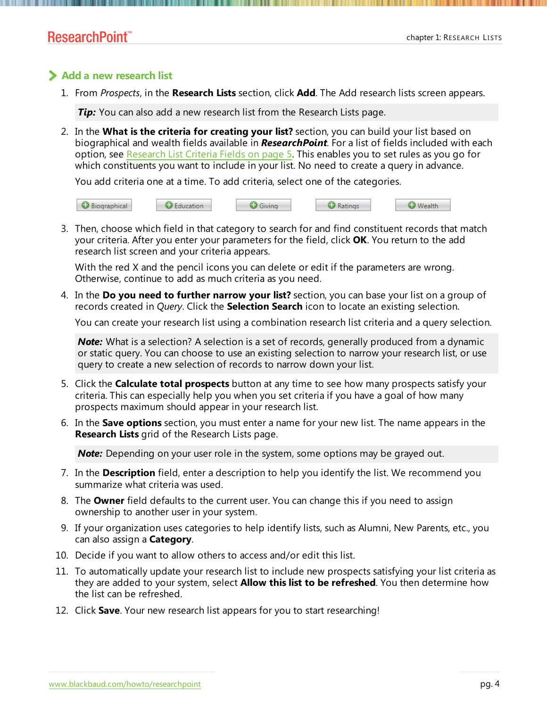#### **Add a new research list**

1. From *Prospects*, in the **Research Lists** section, click **Add**. The Add research lists screen appears.

**Tip:** You can also add a new research list from the Research Lists page.

2. In the **What is the criteria for creating your list?** section, you can build your list based on biographical and wealth fields available in *ResearchPoint*. For a list of fields included with each option, see [Research](#page-4-0) List Criteria Fields on page 5. This enables you to set rules as you go for which constituents you want to include in your list. No need to create a query in advance.

You add criteria one at a time. To add criteria, select one of the categories.



3. Then, choose which field in that category to search for and find constituent records that match your criteria. After you enter your parameters for the field, click **OK**. You return to the add research list screen and your criteria appears.

With the red X and the pencil icons you can delete or edit if the parameters are wrong. Otherwise, continue to add as much criteria as you need.

4. In the **Do you need to further narrow your list?** section, you can base your list on a group of records created in *Query*. Click the **Selection Search** icon to locate an existing selection.

You can create your research list using a combination research list criteria and a query selection.

*Note:* What is a selection? A selection is a set of records, generally produced from a dynamic or static query. You can choose to use an existing selection to narrow your research list, or use query to create a new selection of records to narrow down your list.

- 5. Click the **Calculate total prospects** button at any time to see how many prospects satisfy your criteria. This can especially help you when you set criteria if you have a goal of how many prospects maximum should appear in your research list.
- 6. In the **Save options** section, you must enter a name for your new list. The name appears in the **Research Lists** grid of the Research Lists page.

*Note:* Depending on your user role in the system, some options may be grayed out.

- 7. In the **Description** field, enter a description to help you identify the list. We recommend you summarize what criteria was used.
- 8. The **Owner** field defaults to the current user. You can change this if you need to assign ownership to another user in your system.
- 9. If your organization uses categories to help identify lists, such as Alumni, New Parents, etc., you can also assign a **Category**.
- 10. Decide if you want to allow others to access and/or edit this list.
- 11. To automatically update your research list to include new prospects satisfying your list criteria as they are added to your system, select **Allow this list to be refreshed**. You then determine how the list can be refreshed.
- 12. Click **Save**. Your new research list appears for you to start researching!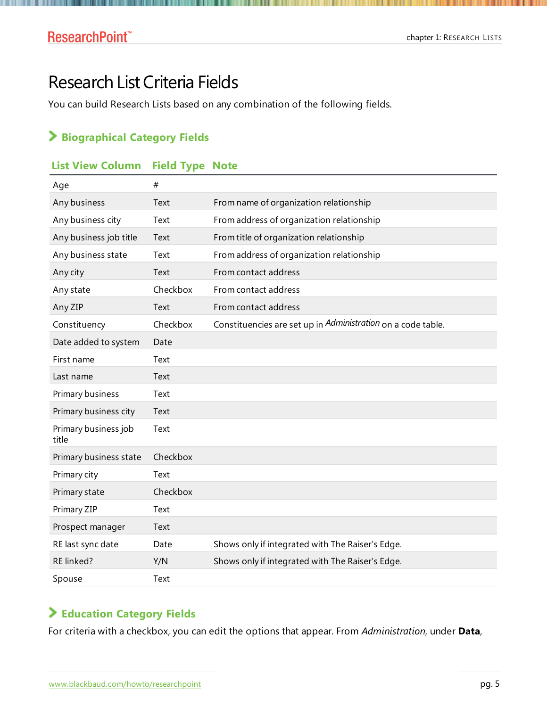# <span id="page-4-0"></span>Research List Criteria Fields

. . .

You can build Research Lists based on any combination of the following fields.

#### **Biographical Category Fields**

#### **List View Column Field Type Note**

| Age                           | #        |                                                              |
|-------------------------------|----------|--------------------------------------------------------------|
| Any business                  | Text     | From name of organization relationship                       |
| Any business city             | Text     | From address of organization relationship                    |
| Any business job title        | Text     | From title of organization relationship                      |
| Any business state            | Text     | From address of organization relationship                    |
| Any city                      | Text     | From contact address                                         |
| Any state                     | Checkbox | From contact address                                         |
| Any ZIP                       | Text     | From contact address                                         |
| Constituency                  | Checkbox | Constituencies are set up in Administration on a code table. |
| Date added to system          | Date     |                                                              |
| First name                    | Text     |                                                              |
| Last name                     | Text     |                                                              |
| Primary business              | Text     |                                                              |
| Primary business city         | Text     |                                                              |
| Primary business job<br>title | Text     |                                                              |
| Primary business state        | Checkbox |                                                              |
| Primary city                  | Text     |                                                              |
| Primary state                 | Checkbox |                                                              |
| Primary ZIP                   | Text     |                                                              |
| Prospect manager              | Text     |                                                              |
| RE last sync date             | Date     | Shows only if integrated with The Raiser's Edge.             |
| RE linked?                    | Y/N      | Shows only if integrated with The Raiser's Edge.             |
| Spouse                        | Text     |                                                              |

#### **Education Category Fields**

For criteria with a checkbox, you can edit the options that appear. From *Administration*, under **Data**,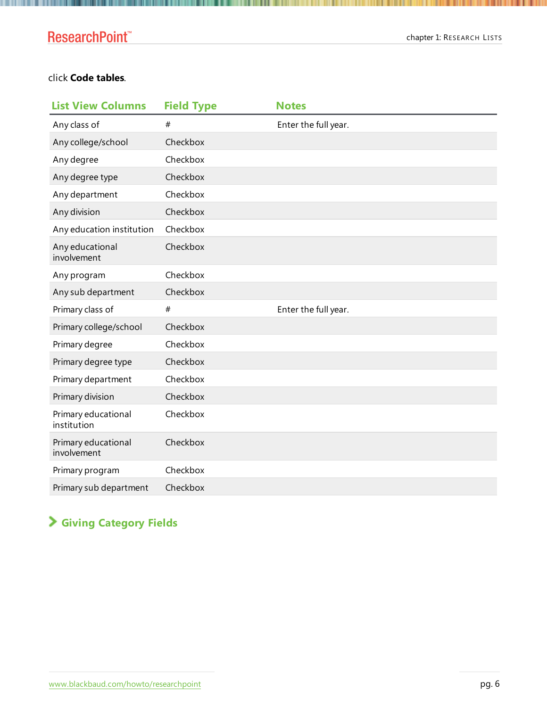## **ResearchPoint™**

. . .

#### click **Code tables**.

| <b>List View Columns</b>           | <b>Field Type</b> | <b>Notes</b>         |
|------------------------------------|-------------------|----------------------|
| Any class of                       | $\#$              | Enter the full year. |
| Any college/school                 | Checkbox          |                      |
| Any degree                         | Checkbox          |                      |
| Any degree type                    | Checkbox          |                      |
| Any department                     | Checkbox          |                      |
| Any division                       | Checkbox          |                      |
| Any education institution          | Checkbox          |                      |
| Any educational<br>involvement     | Checkbox          |                      |
| Any program                        | Checkbox          |                      |
| Any sub department                 | Checkbox          |                      |
| Primary class of                   | #                 | Enter the full year. |
| Primary college/school             | Checkbox          |                      |
| Primary degree                     | Checkbox          |                      |
| Primary degree type                | Checkbox          |                      |
| Primary department                 | Checkbox          |                      |
| Primary division                   | Checkbox          |                      |
| Primary educational<br>institution | Checkbox          |                      |
| Primary educational<br>involvement | Checkbox          |                      |
| Primary program                    | Checkbox          |                      |
| Primary sub department             | Checkbox          |                      |

## **Giving Category Fields**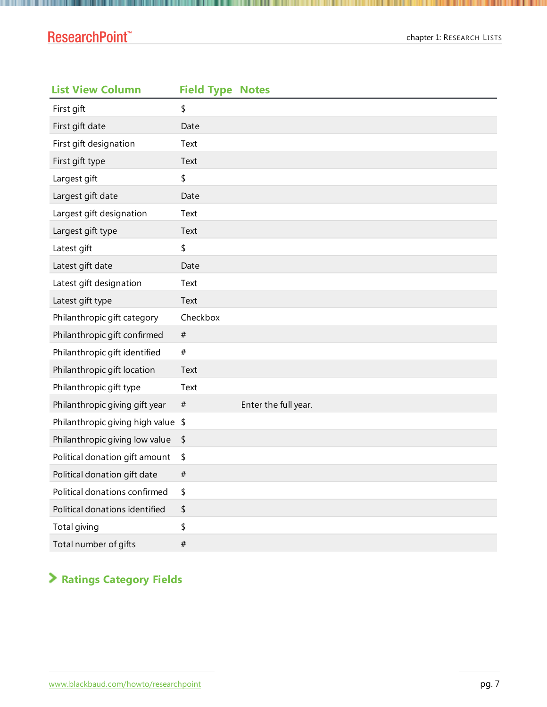### ResearchPoint<sup>™</sup>

| <b>List View Column</b>            | <b>Field Type Notes</b> |                      |
|------------------------------------|-------------------------|----------------------|
| First gift                         | \$                      |                      |
| First gift date                    | Date                    |                      |
| First gift designation             | Text                    |                      |
| First gift type                    | Text                    |                      |
| Largest gift                       | \$                      |                      |
| Largest gift date                  | Date                    |                      |
| Largest gift designation           | Text                    |                      |
| Largest gift type                  | Text                    |                      |
| Latest gift                        | \$                      |                      |
| Latest gift date                   | Date                    |                      |
| Latest gift designation            | Text                    |                      |
| Latest gift type                   | Text                    |                      |
| Philanthropic gift category        | Checkbox                |                      |
| Philanthropic gift confirmed       | $_{\#}$                 |                      |
| Philanthropic gift identified      | #                       |                      |
| Philanthropic gift location        | Text                    |                      |
| Philanthropic gift type            | Text                    |                      |
| Philanthropic giving gift year     | $_{\#}$                 | Enter the full year. |
| Philanthropic giving high value \$ |                         |                      |
| Philanthropic giving low value     | \$                      |                      |
| Political donation gift amount     | \$                      |                      |
| Political donation gift date       | $_{\#}$                 |                      |
| Political donations confirmed      | \$                      |                      |
| Political donations identified     | \$                      |                      |
| Total giving                       | \$                      |                      |
| Total number of gifts              | $\#$                    |                      |

# **Ratings Category Fields**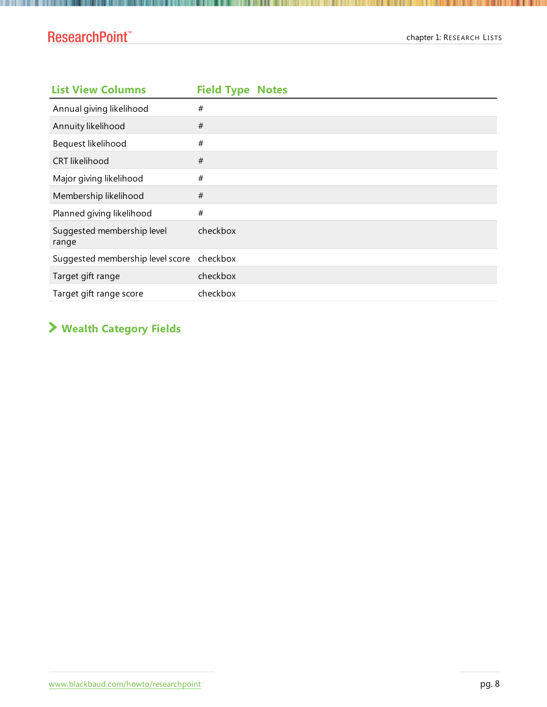### ResearchPoint<sup>™</sup>

. . . . . . . . . . . . . . . . . . .

| <b>List View Columns</b>            | <b>Field Type Notes</b> |
|-------------------------------------|-------------------------|
| Annual giving likelihood            | #                       |
| Annuity likelihood                  | #                       |
| Bequest likelihood                  | #                       |
| <b>CRT</b> likelihood               | #                       |
| Major giving likelihood             | #                       |
| Membership likelihood               | $\#$                    |
| Planned giving likelihood           | #                       |
| Suggested membership level<br>range | checkbox                |
| Suggested membership level score    | checkbox                |
| Target gift range                   | checkbox                |
| Target gift range score             | checkbox                |

### **Wealth Category Fields**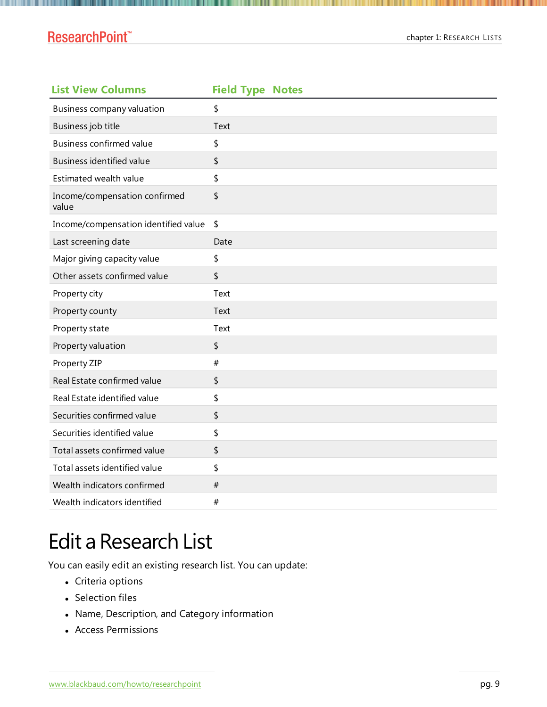#### **ResearchPoint™**

| <b>List View Columns</b>               | <b>Field Type Notes</b> |
|----------------------------------------|-------------------------|
| Business company valuation             | \$                      |
| Business job title                     | Text                    |
| <b>Business confirmed value</b>        | \$                      |
| Business identified value              | \$                      |
| Estimated wealth value                 | \$                      |
| Income/compensation confirmed<br>value | \$                      |
| Income/compensation identified value   | \$                      |
| Last screening date                    | Date                    |
| Major giving capacity value            | \$                      |
| Other assets confirmed value           | \$                      |
| Property city                          | Text                    |
| Property county                        | Text                    |
| Property state                         | Text                    |
| Property valuation                     | \$                      |
| Property ZIP                           | $\#$                    |
| Real Estate confirmed value            | \$                      |
| Real Estate identified value           | \$                      |
| Securities confirmed value             | \$                      |
| Securities identified value            | \$                      |
| Total assets confirmed value           | \$                      |
| Total assets identified value          | \$                      |
| Wealth indicators confirmed            | #                       |
| Wealth indicators identified           | #                       |

# <span id="page-8-0"></span>Edit a Research List

You can easily edit an existing research list. You can update:

- Criteria options
- Selection files
- Name, Description, and Category information
- Access Permissions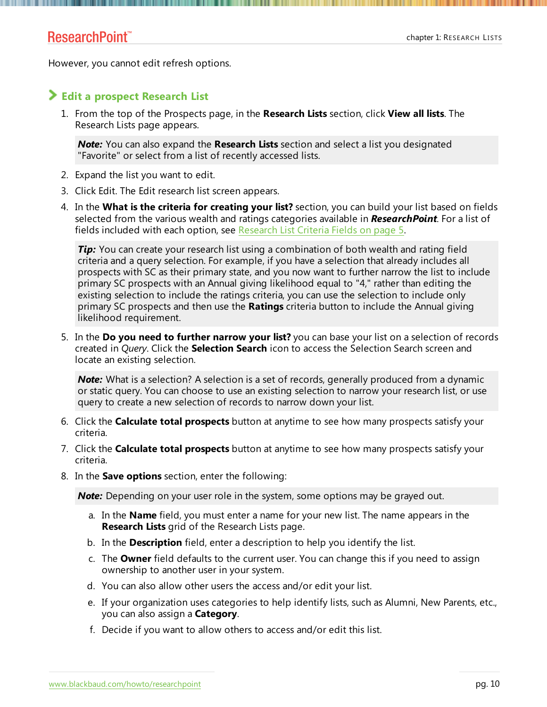#### ResearchPoint<sup>™</sup>

However, you cannot edit refresh options.

#### **Edit a prospect Research List**

1. From the top of the Prospects page, in the **Research Lists** section, click **View all lists**. The Research Lists page appears.

*Note:* You can also expand the **Research Lists** section and select a list you designated "Favorite" or select from a list of recently accessed lists.

- 2. Expand the list you want to edit.
- 3. Click Edit. The Edit research list screen appears.
- 4. In the **What is the criteria for creating your list?** section, you can build your list based on fields selected from the various wealth and ratings categories available in *ResearchPoint*. For a list of fields included with each option, see [Research](#page-4-0) List Criteria Fields on page 5.

**Tip:** You can create your research list using a combination of both wealth and rating field criteria and a query selection. For example, if you have a selection that already includes all prospects with SC as their primary state, and you now want to further narrow the list to include primary SC prospects with an Annual giving likelihood equal to "4," rather than editing the existing selection to include the ratings criteria, you can use the selection to include only primary SC prospects and then use the **Ratings** criteria button to include the Annual giving likelihood requirement.

5. In the **Do you need to further narrow your list?** you can base your list on a selection of records created in *Query*. Click the **Selection Search** icon to access the Selection Search screen and locate an existing selection.

*Note:* What is a selection? A selection is a set of records, generally produced from a dynamic or static query. You can choose to use an existing selection to narrow your research list, or use query to create a new selection of records to narrow down your list.

- 6. Click the **Calculate total prospects** button at anytime to see how many prospects satisfy your criteria.
- 7. Click the **Calculate total prospects** button at anytime to see how many prospects satisfy your criteria.
- 8. In the **Save options** section, enter the following:

*Note:* Depending on your user role in the system, some options may be grayed out.

- a. In the **Name** field, you must enter a name for your new list. The name appears in the **Research Lists** grid of the Research Lists page.
- b. In the **Description** field, enter a description to help you identify the list.
- c. The **Owner** field defaults to the current user. You can change this if you need to assign ownership to another user in your system.
- d. You can also allow other users the access and/or edit your list.
- e. If your organization uses categories to help identify lists, such as Alumni, New Parents, etc., you can also assign a **Category**.
- f. Decide if you want to allow others to access and/or edit this list.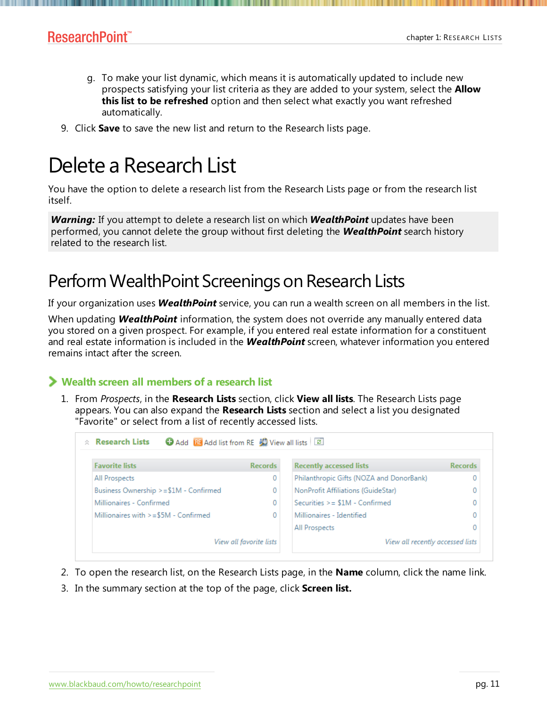- g. To make your list dynamic, which means it is automatically updated to include new prospects satisfying your list criteria as they are added to your system, select the **Allow this list to be refreshed** option and then select what exactly you want refreshed automatically.
- <span id="page-10-0"></span>9. Click **Save** to save the new list and return to the Research lists page.

# Delete a Research List

You have the option to delete a research list from the Research Lists page or from the research list itself.

*Warning:* If you attempt to delete a research list on which *WealthPoint* updates have been performed, you cannot delete the group without first deleting the *WealthPoint* search history related to the research list.

# Perform WealthPoint Screenings on Research Lists

If your organization uses *WealthPoint* service, you can run a wealth screen on all members in the list.

When updating *WealthPoint* information, the system does not override any manually entered data you stored on a given prospect. For example, if you entered real estate information for a constituent and real estate information is included in the *WealthPoint* screen, whatever information you entered remains intact after the screen.

#### **Wealth screen all members of a research list**

1. From *Prospects*, in the **Research Lists** section, click **View all lists**. The Research Lists page appears. You can also expand the **Research Lists** section and select a list you designated "Favorite" or select from a list of recently accessed lists.

| <b>Favorite lists</b>                  | <b>Records</b>          | <b>Recently accessed lists</b>           | <b>Records</b> |
|----------------------------------------|-------------------------|------------------------------------------|----------------|
| All Prospects                          | 0                       | Philanthropic Gifts (NOZA and DonorBank) |                |
| Business Ownership >=\$1M - Confirmed  | 0                       | NonProfit Affiliations (GuideStar)       |                |
| Millionaires - Confirmed               | 0                       | Securities $>= $1M -$ Confirmed          |                |
| Millionaires with $>= $5M -$ Confirmed | 0                       | Millionaires - Identified                |                |
|                                        |                         | All Prospects                            |                |
|                                        | View all favorite lists | View all recently accessed lists         |                |

- 2. To open the research list, on the Research Lists page, in the **Name** column, click the name link.
- 3. In the summary section at the top of the page, click **Screen list.**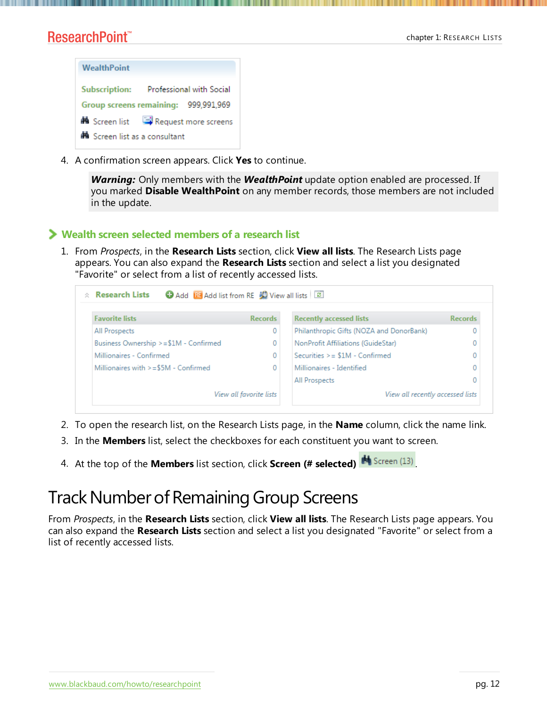### ResearchPoint<sup>\*\*</sup>



4. A confirmation screen appears. Click **Yes** to continue.

*Warning:* Only members with the *WealthPoint* update option enabled are processed. If you marked **Disable WealthPoint** on any member records, those members are not included in the update.

#### **Wealth screen selected members of a research list**

1. From *Prospects*, in the **Research Lists** section, click **View all lists**. The Research Lists page appears. You can also expand the **Research Lists** section and select a list you designated "Favorite" or select from a list of recently accessed lists.



- 2. To open the research list, on the Research Lists page, in the **Name** column, click the name link.
- 3. In the **Members** list, select the checkboxes for each constituent you want to screen.
- 4. At the top of the **Members** list section, click **Screen (# selected)** .

# Track Number of Remaining Group Screens

From *Prospects*, in the **Research Lists** section, click **View all lists**. The Research Lists page appears. You can also expand the **Research Lists** section and select a list you designated "Favorite" or select from a list of recently accessed lists.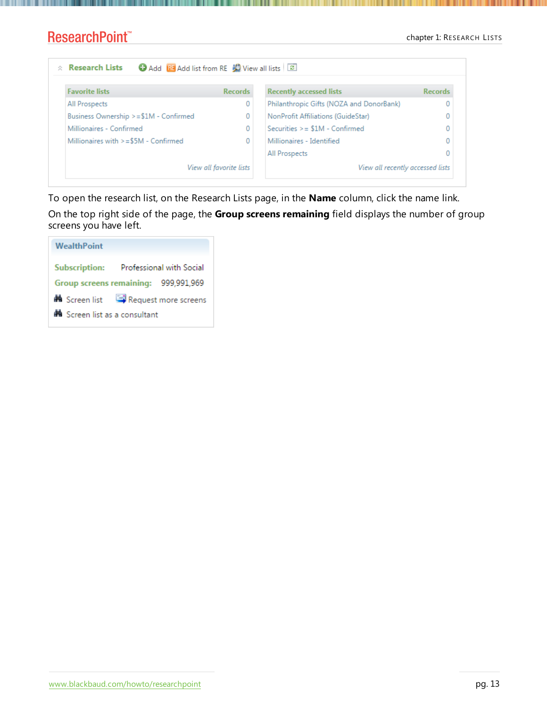#### chapter 1: RESEARCH LISTS

#### ResearchPoint™

| $\hat{z}$ Research Lists<br>Add its Add list from RE W View all lists   2 |                         |                                          |                |  |
|---------------------------------------------------------------------------|-------------------------|------------------------------------------|----------------|--|
| <b>Favorite lists</b>                                                     | <b>Records</b>          | <b>Recently accessed lists</b>           | <b>Records</b> |  |
| All Prospects                                                             | 0                       | Philanthropic Gifts (NOZA and DonorBank) |                |  |
| Business Ownership >=\$1M - Confirmed                                     | 0                       | NonProfit Affiliations (GuideStar)       |                |  |
| Millionaires - Confirmed                                                  | 0                       | Securities $>= $1M -$ Confirmed          |                |  |
| Millionaires with $>= $5M -$ Confirmed                                    | 0                       | Millionaires - Identified                |                |  |
|                                                                           |                         | All Prospects                            |                |  |
|                                                                           | View all favorite lists | View all recently accessed lists         |                |  |

To open the research list, on the Research Lists page, in the **Name** column, click the name link.

On the top right side of the page, the **Group screens remaining** field displays the number of group screens you have left.

| <b>WealthPoint</b>            |                                                  |
|-------------------------------|--------------------------------------------------|
|                               | Subscription: Professional with Social           |
|                               | Group screens remaining: 999,991,969             |
|                               | <b>M</b> Screen list <b>Request more screens</b> |
| A Screen list as a consultant |                                                  |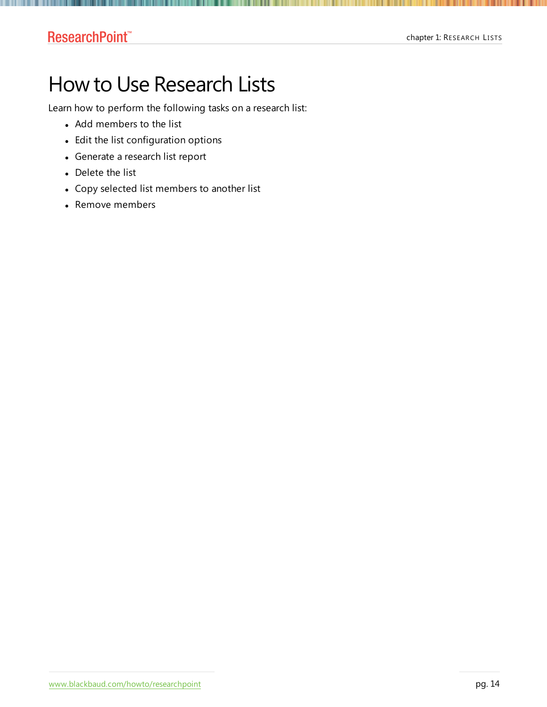### <span id="page-13-0"></span>ResearchPoint<sup>\*\*</sup>

# How to Use Research Lists

Learn how to perform the following tasks on a research list:

- Add members to the list
- Edit the list configuration options
- Generate a research list report
- Delete the list
- Copy selected list members to another list
- Remove members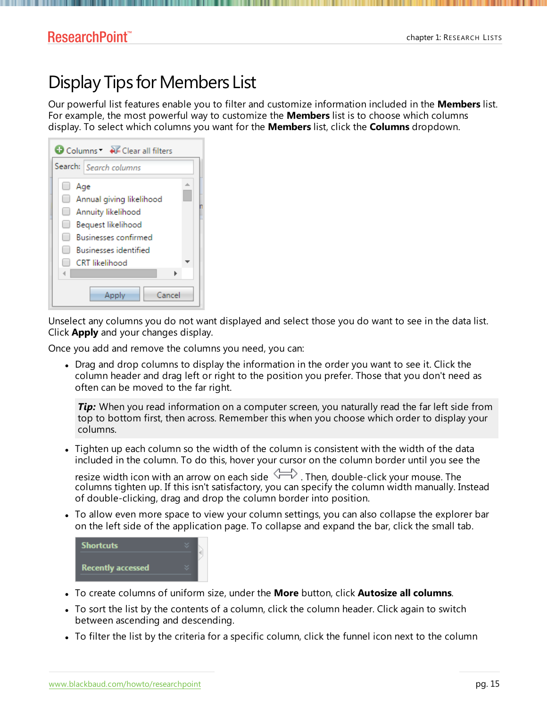#### ResearchPoint<sup>™</sup>

# Display Tips for Members List

Our powerful list features enable you to filter and customize information included in the **Members** list. For example, the most powerful way to customize the **Members** list is to choose which columns display. To select which columns you want for the **Members** list, click the **Columns** dropdown.

| Columns V Clear all filters  |  |
|------------------------------|--|
| Search: Search columns       |  |
| Age<br>$\Box$                |  |
| Annual giving likelihood     |  |
| Annuity likelihood<br>$\Box$ |  |
| Bequest likelihood           |  |
| <b>Businesses confirmed</b>  |  |
| <b>Businesses identified</b> |  |
| <b>CRT</b> likelihood        |  |
|                              |  |
| Cancel<br>Apply              |  |

Unselect any columns you do not want displayed and select those you do want to see in the data list. Click **Apply** and your changes display.

Once you add and remove the columns you need, you can:

• Drag and drop columns to display the information in the order you want to see it. Click the column header and drag left or right to the position you prefer. Those that you don't need as often can be moved to the far right.

**Tip:** When you read information on a computer screen, you naturally read the far left side from top to bottom first, then across. Remember this when you choose which order to display your columns.

• Tighten up each column so the width of the column is consistent with the width of the data included in the column. To do this, hover your cursor on the column border until you see the

resize width icon with an arrow on each side  $\searrow\searrow$  . Then, double-click your mouse. The columns tighten up. If this isn't satisfactory, you can specify the column width manually. Instead of double-clicking, drag and drop the column border into position.

• To allow even more space to view your column settings, you can also collapse the explorer bar on the left side of the application page. To collapse and expand the bar, click the small tab.

| <b>Shortcuts</b>         |  |  |
|--------------------------|--|--|
| <b>Recently accessed</b> |  |  |

- <sup>l</sup> To create columns of uniform size, under the **More** button, click **Autosize all columns**.
- To sort the list by the contents of a column, click the column header. Click again to switch between ascending and descending.
- To filter the list by the criteria for a specific column, click the funnel icon next to the column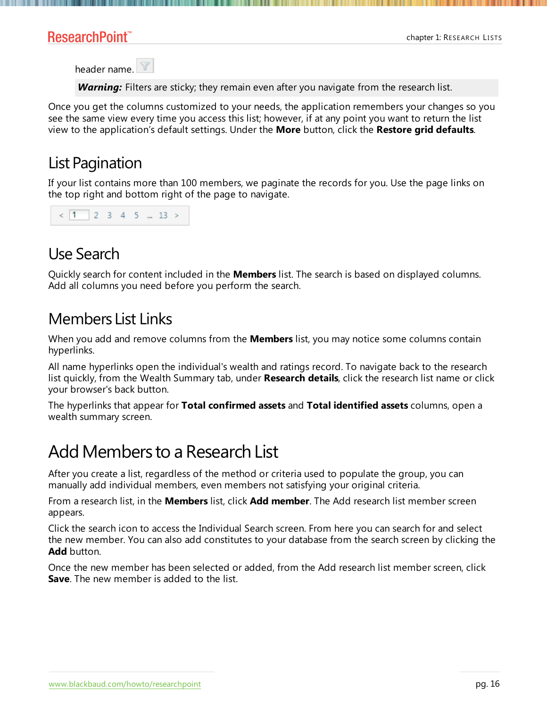#### ResearchPoint<sup>\*\*</sup>

header name.

**Warning:** Filters are sticky; they remain even after you navigate from the research list.

Once you get the columns customized to your needs, the application remembers your changes so you see the same view every time you access this list; however, if at any point you want to return the list view to the application's default settings. Under the **More** button, click the **Restore grid defaults**.

# List Pagination

If your list contains more than 100 members, we paginate the records for you. Use the page links on the top right and bottom right of the page to navigate.

|  | $\langle 1 \rangle$ 2 3 4 5  13 > |  |  |  |  |  |  |  |
|--|-----------------------------------|--|--|--|--|--|--|--|
|--|-----------------------------------|--|--|--|--|--|--|--|

# Use Search

Quickly search for content included in the **Members** list. The search is based on displayed columns. Add all columns you need before you perform the search.

# Members List Links

When you add and remove columns from the **Members** list, you may notice some columns contain hyperlinks.

All name hyperlinks open the individual's wealth and ratings record. To navigate back to the research list quickly, from the Wealth Summary tab, under **Research details**, click the research list name or click your browser's back button.

The hyperlinks that appear for **Total confirmed assets** and **Total identified assets** columns, open a wealth summary screen.

# Add Members to a Research List

After you create a list, regardless of the method or criteria used to populate the group, you can manually add individual members, even members not satisfying your original criteria.

From a research list, in the **Members** list, click **Add member**. The Add research list member screen appears.

Click the search icon to access the Individual Search screen. From here you can search for and select the new member. You can also add constitutes to your database from the search screen by clicking the **Add** button.

Once the new member has been selected or added, from the Add research list member screen, click **Save**. The new member is added to the list.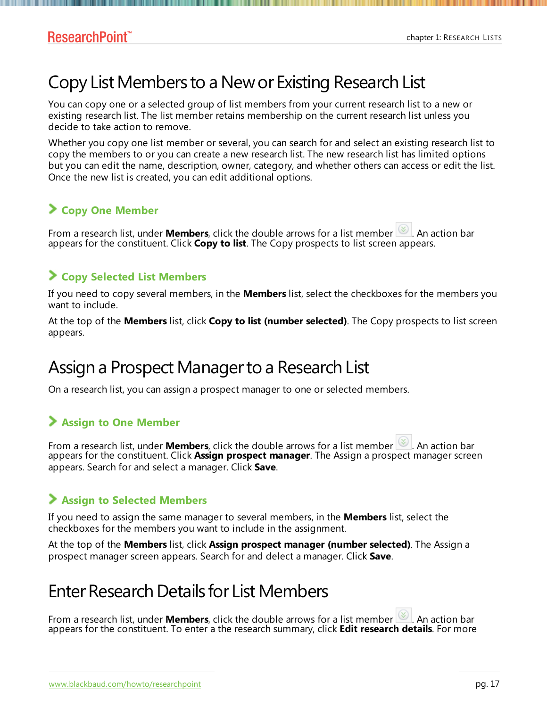# Copy List Members to a New or Existing Research List

You can copy one or a selected group of list members from your current research list to a new or existing research list. The list member retains membership on the current research list unless you decide to take action to remove.

Whether you copy one list member or several, you can search for and select an existing research list to copy the members to or you can create a new research list. The new research list has limited options but you can edit the name, description, owner, category, and whether others can access or edit the list. Once the new list is created, you can edit additional options.

#### **Copy One Member**

From a research list, under **Members**, click the double arrows for a list member **.** An action bar appears for the constituent. Click **Copy to list**. The Copy prospects to list screen appears.

#### **Copy Selected List Members**

If you need to copy several members, in the **Members** list, select the checkboxes for the members you want to include.

At the top of the **Members** list, click **Copy to list (number selected)**. The Copy prospects to list screen appears.

# Assign a Prospect Manager to a Research List

On a research list, you can assign a prospect manager to one or selected members.

#### **Assign to One Member**

From a research list, under **Members**, click the double arrows for a list member **.** An action bar appears for the constituent. Click **Assign prospect manager**. The Assign a prospect manager screen appears. Search for and select a manager. Click **Save**.

#### **Assign to Selected Members**

If you need to assign the same manager to several members, in the **Members** list, select the checkboxes for the members you want to include in the assignment.

At the top of the **Members** list, click **Assign prospect manager (number selected)**. The Assign a prospect manager screen appears. Search for and delect a manager. Click **Save**.

# EnterResearch Details for ListMembers

From a research list, under **Members**, click the double arrows for a list member **.** An action bar appears for the constituent. To enter a the research summary, click **Edit research details**. For more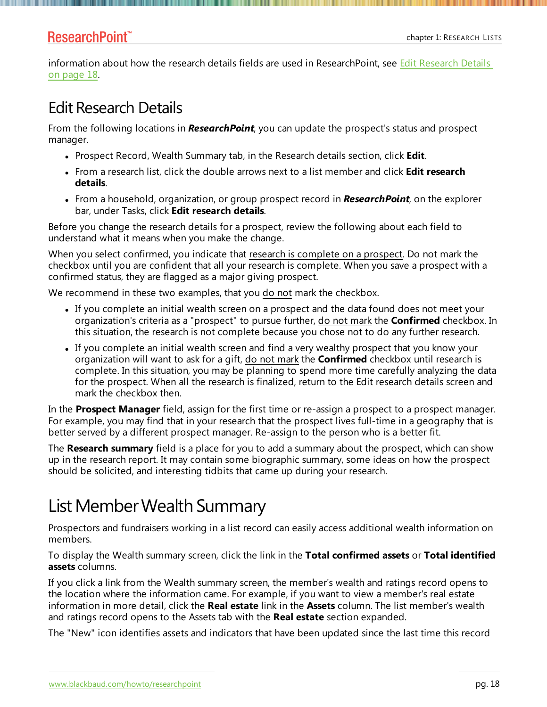#### ResearchPoint<sup>\*\*</sup>

information about how the research details fields are used in [Research](#page-17-0)Point, see Edit Research Details on [page](#page-17-0) 18.

# <span id="page-17-0"></span>Edit Research Details

From the following locations in *ResearchPoint*, you can update the prospect's status and prospect manager.

- **Prospect Record, Wealth Summary tab, in the Research details section, click Edit.**
- <sup>l</sup> From a research list, click the double arrows next to a list member and click **Edit research details**.
- <sup>l</sup> From a household, organization, or group prospect record in *ResearchPoint*, on the explorer bar, under Tasks, click **Edit research details**.

Before you change the research details for a prospect, review the following about each field to understand what it means when you make the change.

When you select confirmed, you indicate that research is complete on a prospect. Do not mark the checkbox until you are confident that all your research is complete. When you save a prospect with a confirmed status, they are flagged as a major giving prospect.

We recommend in these two examples, that you do not mark the checkbox.

- If you complete an initial wealth screen on a prospect and the data found does not meet your organization's criteria as a "prospect" to pursue further, do not mark the **Confirmed** checkbox. In this situation, the research is not complete because you chose not to do any further research.
- If you complete an initial wealth screen and find a very wealthy prospect that you know your organization will want to ask for a gift, do not mark the **Confirmed** checkbox until research is complete. In this situation, you may be planning to spend more time carefully analyzing the data for the prospect. When all the research is finalized, return to the Edit research details screen and mark the checkbox then.

In the **Prospect Manager** field, assign for the first time or re-assign a prospect to a prospect manager. For example, you may find that in your research that the prospect lives full-time in a geography that is better served by a different prospect manager. Re-assign to the person who is a better fit.

The **Research summary** field is a place for you to add a summary about the prospect, which can show up in the research report. It may contain some biographic summary, some ideas on how the prospect should be solicited, and interesting tidbits that came up during your research.

# List Member Wealth Summary

Prospectors and fundraisers working in a list record can easily access additional wealth information on members.

To display the Wealth summary screen, click the link in the **Total confirmed assets** or **Total identified assets** columns.

If you click a link from the Wealth summary screen, the member's wealth and ratings record opens to the location where the information came. For example, if you want to view a member's real estate information in more detail, click the **Real estate** link in the **Assets** column. The list member's wealth and ratings record opens to the Assets tab with the **Real estate** section expanded.

The "New" icon identifies assets and indicators that have been updated since the last time this record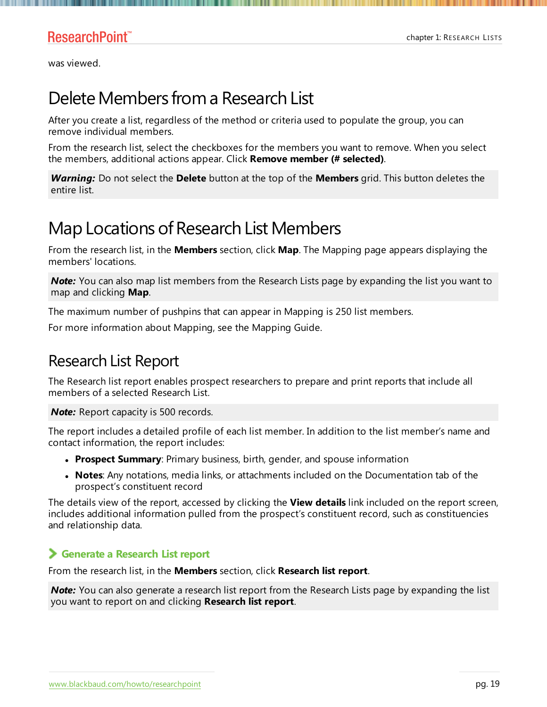was viewed.

# Delete Members from a Research List

After you create a list, regardless of the method or criteria used to populate the group, you can remove individual members.

From the research list, select the checkboxes for the members you want to remove. When you select the members, additional actions appear. Click **Remove member (# selected)**.

*Warning:* Do not select the **Delete** button at the top of the **Members** grid. This button deletes the entire list.

# Map Locations of Research List Members

From the research list, in the **Members** section, click **Map**. The Mapping page appears displaying the members' locations.

**Note:** You can also map list members from the Research Lists page by expanding the list you want to map and clicking **Map**.

The maximum number of pushpins that can appear in Mapping is 250 list members.

For more information about Mapping, see the Mapping Guide.

## Research List Report

The Research list report enables prospect researchers to prepare and print reports that include all members of a selected Research List.

*Note:* Report capacity is 500 records.

The report includes a detailed profile of each list member. In addition to the list member's name and contact information, the report includes:

- **Prospect Summary**: Primary business, birth, gender, and spouse information
- **Notes**: Any notations, media links, or attachments included on the Documentation tab of the prospect's constituent record

The details view of the report, accessed by clicking the **View details** link included on the report screen, includes additional information pulled from the prospect's constituent record, such as constituencies and relationship data.

#### **Generate a Research List report**

From the research list, in the **Members** section, click **Research list report**.

*Note:* You can also generate a research list report from the Research Lists page by expanding the list you want to report on and clicking **Research list report**.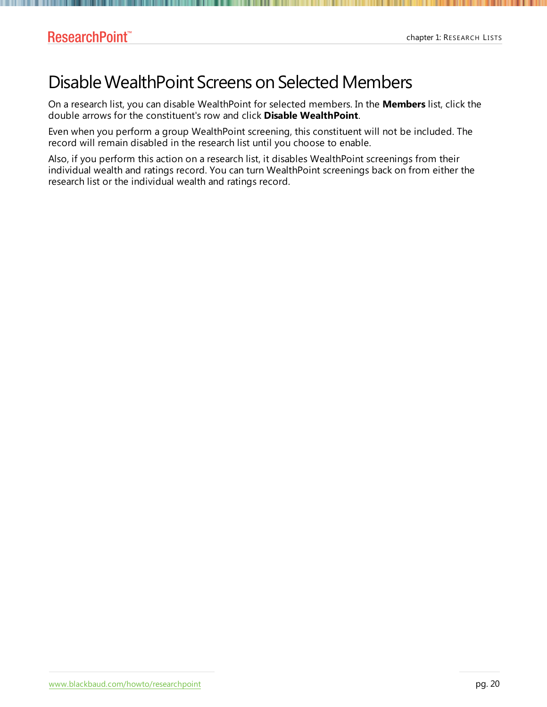# Disable WealthPoint Screens on Selected Members

On a research list, you can disable WealthPoint for selected members. In the **Members** list, click the double arrows for the constituent's row and click **Disable WealthPoint**.

Even when you perform a group WealthPoint screening, this constituent will not be included. The record will remain disabled in the research list until you choose to enable.

Also, if you perform this action on a research list, it disables WealthPoint screenings from their individual wealth and ratings record. You can turn WealthPoint screenings back on from either the research list or the individual wealth and ratings record.